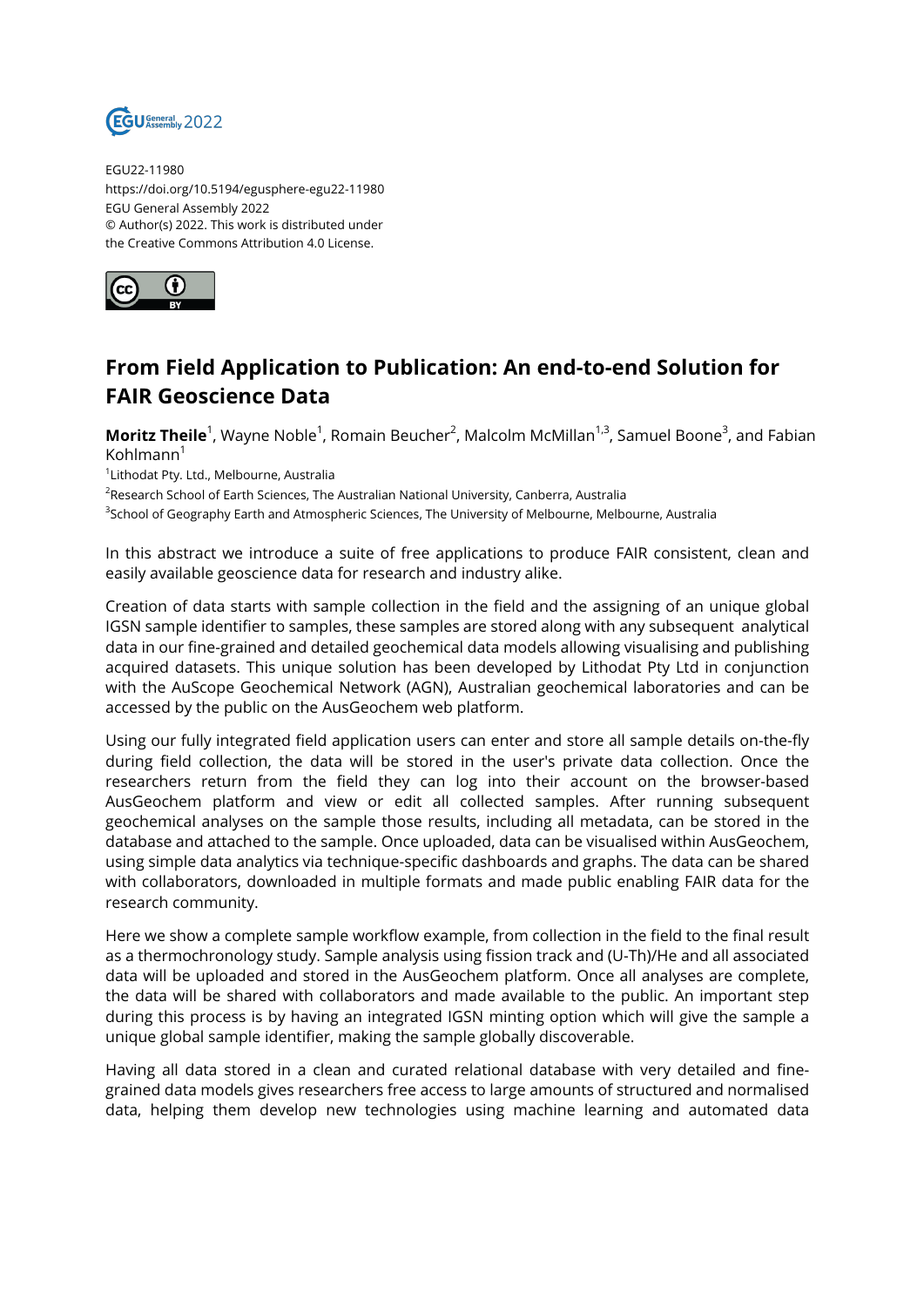

EGU22-11980 https://doi.org/10.5194/egusphere-egu22-11980 EGU General Assembly 2022 © Author(s) 2022. This work is distributed under the Creative Commons Attribution 4.0 License.



## **From Field Application to Publication: An end-to-end Solution for FAIR Geoscience Data**

**Moritz Theile**<sup>1</sup>, Wayne Noble<sup>1</sup>, Romain Beucher<sup>2</sup>, Malcolm McMillan<sup>1,3</sup>, Samuel Boone<sup>3</sup>, and Fabian  $K$ ohlmann $<sup>1</sup>$ </sup>

1 Lithodat Pty. Ltd., Melbourne, Australia

 $^2$ Research School of Earth Sciences, The Australian National University, Canberra, Australia

<sup>3</sup>School of Geography Earth and Atmospheric Sciences, The University of Melbourne, Melbourne, Australia

In this abstract we introduce a suite of free applications to produce FAIR consistent, clean and easily available geoscience data for research and industry alike.

Creation of data starts with sample collection in the field and the assigning of an unique global IGSN sample identifier to samples, these samples are stored along with any subsequent analytical data in our fine-grained and detailed geochemical data models allowing visualising and publishing acquired datasets. This unique solution has been developed by Lithodat Pty Ltd in conjunction with the AuScope Geochemical Network (AGN), Australian geochemical laboratories and can be accessed by the public on the AusGeochem web platform.

Using our fully integrated field application users can enter and store all sample details on-the-fly during field collection, the data will be stored in the user's private data collection. Once the researchers return from the field they can log into their account on the browser-based AusGeochem platform and view or edit all collected samples. After running subsequent geochemical analyses on the sample those results, including all metadata, can be stored in the database and attached to the sample. Once uploaded, data can be visualised within AusGeochem, using simple data analytics via technique-specific dashboards and graphs. The data can be shared with collaborators, downloaded in multiple formats and made public enabling FAIR data for the research community.

Here we show a complete sample workflow example, from collection in the field to the final result as a thermochronology study. Sample analysis using fission track and (U-Th)/He and all associated data will be uploaded and stored in the AusGeochem platform. Once all analyses are complete, the data will be shared with collaborators and made available to the public. An important step during this process is by having an integrated IGSN minting option which will give the sample a unique global sample identifier, making the sample globally discoverable.

Having all data stored in a clean and curated relational database with very detailed and finegrained data models gives researchers free access to large amounts of structured and normalised data, helping them develop new technologies using machine learning and automated data